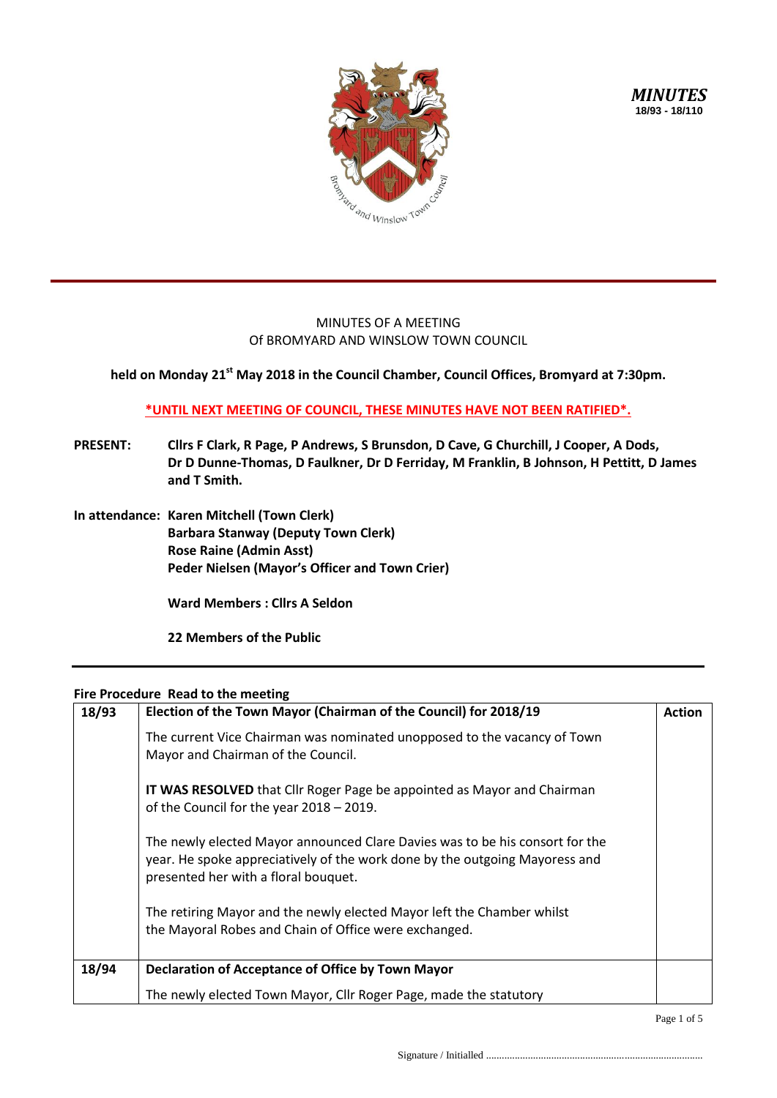

## MINUTES OF A MEETING Of BROMYARD AND WINSLOW TOWN COUNCIL

**held on Monday 21st May 2018 in the Council Chamber, Council Offices, Bromyard at 7:30pm.**

## **\*UNTIL NEXT MEETING OF COUNCIL, THESE MINUTES HAVE NOT BEEN RATIFIED\*.**

- **PRESENT: Cllrs F Clark, R Page, P Andrews, S Brunsdon, D Cave, G Churchill, J Cooper, A Dods, Dr D Dunne-Thomas, D Faulkner, Dr D Ferriday, M Franklin, B Johnson, H Pettitt, D James and T Smith.**
- **In attendance: Karen Mitchell (Town Clerk) Barbara Stanway (Deputy Town Clerk) Rose Raine (Admin Asst) Peder Nielsen (Mayor's Officer and Town Crier)**

**Ward Members : Cllrs A Seldon** 

**22 Members of the Public**

## **Fire Procedure Read to the meeting**

| 18/93 | Election of the Town Mayor (Chairman of the Council) for 2018/19                                                                                                                                    |  |  |  |
|-------|-----------------------------------------------------------------------------------------------------------------------------------------------------------------------------------------------------|--|--|--|
|       | The current Vice Chairman was nominated unopposed to the vacancy of Town<br>Mayor and Chairman of the Council.                                                                                      |  |  |  |
|       | IT WAS RESOLVED that Cllr Roger Page be appointed as Mayor and Chairman<br>of the Council for the year 2018 - 2019.                                                                                 |  |  |  |
|       | The newly elected Mayor announced Clare Davies was to be his consort for the<br>year. He spoke appreciatively of the work done by the outgoing Mayoress and<br>presented her with a floral bouquet. |  |  |  |
|       | The retiring Mayor and the newly elected Mayor left the Chamber whilst<br>the Mayoral Robes and Chain of Office were exchanged.                                                                     |  |  |  |
| 18/94 | Declaration of Acceptance of Office by Town Mayor                                                                                                                                                   |  |  |  |
|       | The newly elected Town Mayor, Cllr Roger Page, made the statutory                                                                                                                                   |  |  |  |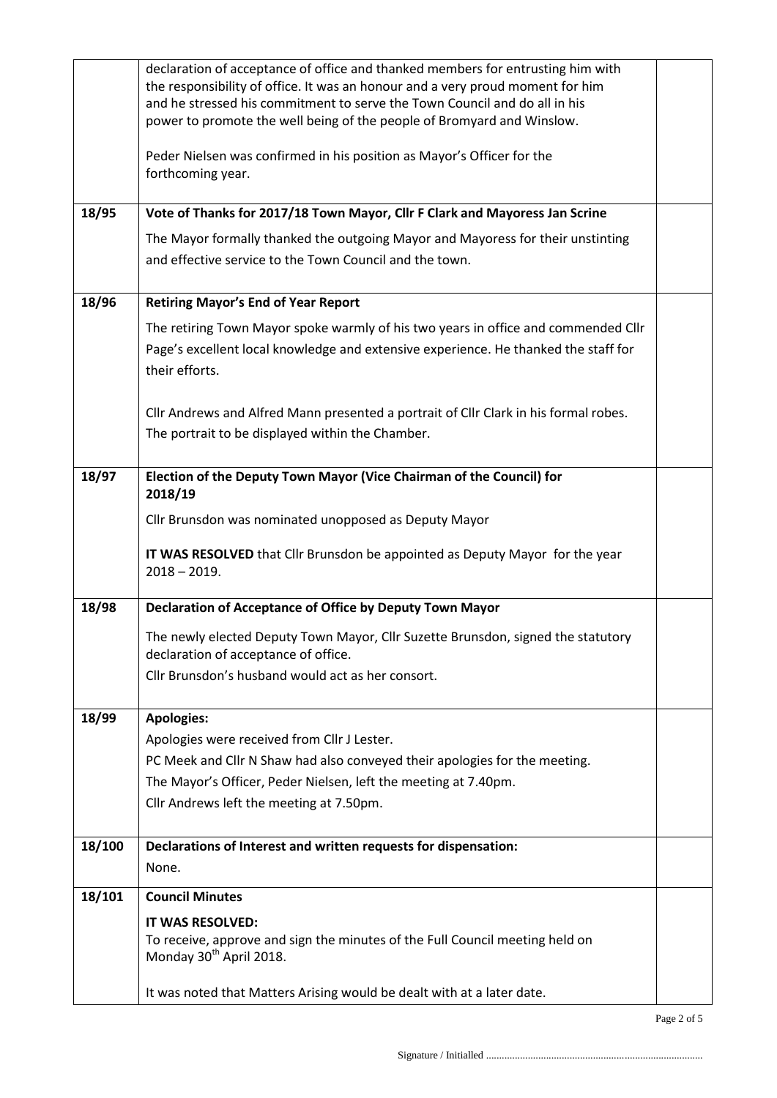|        | declaration of acceptance of office and thanked members for entrusting him with<br>the responsibility of office. It was an honour and a very proud moment for him<br>and he stressed his commitment to serve the Town Council and do all in his<br>power to promote the well being of the people of Bromyard and Winslow. |  |  |  |
|--------|---------------------------------------------------------------------------------------------------------------------------------------------------------------------------------------------------------------------------------------------------------------------------------------------------------------------------|--|--|--|
|        | Peder Nielsen was confirmed in his position as Mayor's Officer for the<br>forthcoming year.                                                                                                                                                                                                                               |  |  |  |
| 18/95  | Vote of Thanks for 2017/18 Town Mayor, Cllr F Clark and Mayoress Jan Scrine                                                                                                                                                                                                                                               |  |  |  |
|        | The Mayor formally thanked the outgoing Mayor and Mayoress for their unstinting<br>and effective service to the Town Council and the town.                                                                                                                                                                                |  |  |  |
| 18/96  | <b>Retiring Mayor's End of Year Report</b>                                                                                                                                                                                                                                                                                |  |  |  |
|        | The retiring Town Mayor spoke warmly of his two years in office and commended Cllr<br>Page's excellent local knowledge and extensive experience. He thanked the staff for<br>their efforts.                                                                                                                               |  |  |  |
|        | Cllr Andrews and Alfred Mann presented a portrait of Cllr Clark in his formal robes.<br>The portrait to be displayed within the Chamber.                                                                                                                                                                                  |  |  |  |
| 18/97  | Election of the Deputy Town Mayor (Vice Chairman of the Council) for<br>2018/19                                                                                                                                                                                                                                           |  |  |  |
|        | Cllr Brunsdon was nominated unopposed as Deputy Mayor                                                                                                                                                                                                                                                                     |  |  |  |
|        | IT WAS RESOLVED that Cllr Brunsdon be appointed as Deputy Mayor for the year<br>$2018 - 2019.$                                                                                                                                                                                                                            |  |  |  |
| 18/98  | Declaration of Acceptance of Office by Deputy Town Mayor                                                                                                                                                                                                                                                                  |  |  |  |
|        | The newly elected Deputy Town Mayor, Cllr Suzette Brunsdon, signed the statutory<br>declaration of acceptance of office.                                                                                                                                                                                                  |  |  |  |
|        | Cllr Brunsdon's husband would act as her consort.                                                                                                                                                                                                                                                                         |  |  |  |
| 18/99  | <b>Apologies:</b>                                                                                                                                                                                                                                                                                                         |  |  |  |
|        | Apologies were received from Cllr J Lester.                                                                                                                                                                                                                                                                               |  |  |  |
|        | PC Meek and Cllr N Shaw had also conveyed their apologies for the meeting.                                                                                                                                                                                                                                                |  |  |  |
|        | The Mayor's Officer, Peder Nielsen, left the meeting at 7.40pm.                                                                                                                                                                                                                                                           |  |  |  |
|        | Cllr Andrews left the meeting at 7.50pm.                                                                                                                                                                                                                                                                                  |  |  |  |
| 18/100 | Declarations of Interest and written requests for dispensation:                                                                                                                                                                                                                                                           |  |  |  |
|        | None.                                                                                                                                                                                                                                                                                                                     |  |  |  |
| 18/101 | <b>Council Minutes</b>                                                                                                                                                                                                                                                                                                    |  |  |  |
|        | IT WAS RESOLVED:                                                                                                                                                                                                                                                                                                          |  |  |  |
|        | To receive, approve and sign the minutes of the Full Council meeting held on<br>Monday 30 <sup>th</sup> April 2018.                                                                                                                                                                                                       |  |  |  |
|        | It was noted that Matters Arising would be dealt with at a later date.                                                                                                                                                                                                                                                    |  |  |  |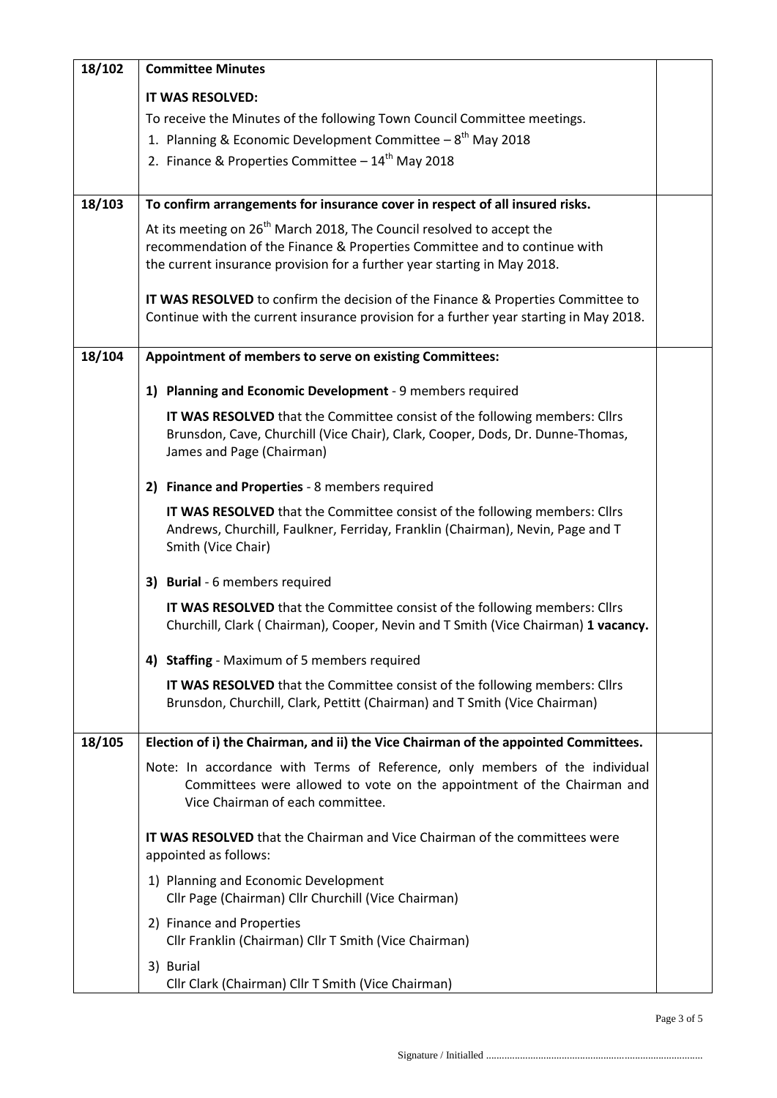| 18/102 | <b>Committee Minutes</b>                                                                                                                                                   |  |  |  |  |
|--------|----------------------------------------------------------------------------------------------------------------------------------------------------------------------------|--|--|--|--|
|        | <b>IT WAS RESOLVED:</b>                                                                                                                                                    |  |  |  |  |
|        | To receive the Minutes of the following Town Council Committee meetings.                                                                                                   |  |  |  |  |
|        | 1. Planning & Economic Development Committee $-8^{th}$ May 2018                                                                                                            |  |  |  |  |
|        | 2. Finance & Properties Committee $-14^{th}$ May 2018                                                                                                                      |  |  |  |  |
|        |                                                                                                                                                                            |  |  |  |  |
| 18/103 | To confirm arrangements for insurance cover in respect of all insured risks.                                                                                               |  |  |  |  |
|        | At its meeting on 26 <sup>th</sup> March 2018, The Council resolved to accept the                                                                                          |  |  |  |  |
|        | recommendation of the Finance & Properties Committee and to continue with                                                                                                  |  |  |  |  |
|        | the current insurance provision for a further year starting in May 2018.                                                                                                   |  |  |  |  |
|        | IT WAS RESOLVED to confirm the decision of the Finance & Properties Committee to<br>Continue with the current insurance provision for a further year starting in May 2018. |  |  |  |  |
| 18/104 | Appointment of members to serve on existing Committees:                                                                                                                    |  |  |  |  |
|        | 1) Planning and Economic Development - 9 members required                                                                                                                  |  |  |  |  |
|        | IT WAS RESOLVED that the Committee consist of the following members: Cllrs                                                                                                 |  |  |  |  |
|        | Brunsdon, Cave, Churchill (Vice Chair), Clark, Cooper, Dods, Dr. Dunne-Thomas,                                                                                             |  |  |  |  |
|        | James and Page (Chairman)                                                                                                                                                  |  |  |  |  |
|        | 2) Finance and Properties - 8 members required                                                                                                                             |  |  |  |  |
|        | IT WAS RESOLVED that the Committee consist of the following members: Cllrs<br>Andrews, Churchill, Faulkner, Ferriday, Franklin (Chairman), Nevin, Page and T               |  |  |  |  |
|        | Smith (Vice Chair)                                                                                                                                                         |  |  |  |  |
|        | 3) Burial - 6 members required                                                                                                                                             |  |  |  |  |
|        | IT WAS RESOLVED that the Committee consist of the following members: Cllrs<br>Churchill, Clark (Chairman), Cooper, Nevin and T Smith (Vice Chairman) 1 vacancy.            |  |  |  |  |
|        | 4) Staffing - Maximum of 5 members required                                                                                                                                |  |  |  |  |
|        | IT WAS RESOLVED that the Committee consist of the following members: Cllrs                                                                                                 |  |  |  |  |
|        | Brunsdon, Churchill, Clark, Pettitt (Chairman) and T Smith (Vice Chairman)                                                                                                 |  |  |  |  |
| 18/105 | Election of i) the Chairman, and ii) the Vice Chairman of the appointed Committees.                                                                                        |  |  |  |  |
|        | Note: In accordance with Terms of Reference, only members of the individual                                                                                                |  |  |  |  |
|        | Committees were allowed to vote on the appointment of the Chairman and<br>Vice Chairman of each committee.                                                                 |  |  |  |  |
|        | <b>IT WAS RESOLVED</b> that the Chairman and Vice Chairman of the committees were                                                                                          |  |  |  |  |
|        | appointed as follows:                                                                                                                                                      |  |  |  |  |
|        | 1) Planning and Economic Development<br>Cllr Page (Chairman) Cllr Churchill (Vice Chairman)                                                                                |  |  |  |  |
|        | 2) Finance and Properties<br>Cllr Franklin (Chairman) Cllr T Smith (Vice Chairman)                                                                                         |  |  |  |  |
|        | 3) Burial                                                                                                                                                                  |  |  |  |  |
|        | Cllr Clark (Chairman) Cllr T Smith (Vice Chairman)                                                                                                                         |  |  |  |  |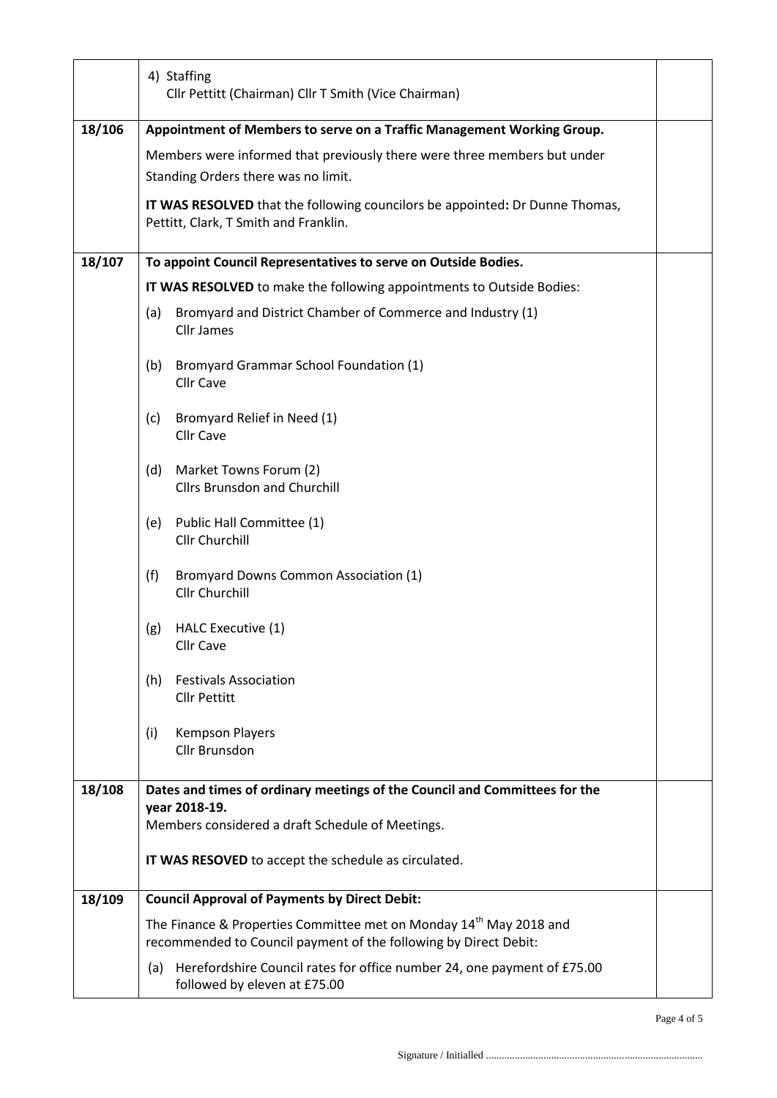|        | 4) Staffing<br>Cllr Pettitt (Chairman) Cllr T Smith (Vice Chairman)                                                                                |  |  |  |  |  |
|--------|----------------------------------------------------------------------------------------------------------------------------------------------------|--|--|--|--|--|
| 18/106 | Appointment of Members to serve on a Traffic Management Working Group.                                                                             |  |  |  |  |  |
|        | Members were informed that previously there were three members but under                                                                           |  |  |  |  |  |
|        | Standing Orders there was no limit.                                                                                                                |  |  |  |  |  |
|        | IT WAS RESOLVED that the following councilors be appointed: Dr Dunne Thomas,                                                                       |  |  |  |  |  |
|        | Pettitt, Clark, T Smith and Franklin.                                                                                                              |  |  |  |  |  |
| 18/107 | To appoint Council Representatives to serve on Outside Bodies.                                                                                     |  |  |  |  |  |
|        | IT WAS RESOLVED to make the following appointments to Outside Bodies:                                                                              |  |  |  |  |  |
|        | Bromyard and District Chamber of Commerce and Industry (1)<br>(a)<br><b>Cllr James</b>                                                             |  |  |  |  |  |
|        | Bromyard Grammar School Foundation (1)<br>(b)<br><b>Cllr Cave</b>                                                                                  |  |  |  |  |  |
|        | Bromyard Relief in Need (1)<br>(c)<br><b>Cllr Cave</b>                                                                                             |  |  |  |  |  |
|        | Market Towns Forum (2)<br>(d)<br><b>Cllrs Brunsdon and Churchill</b>                                                                               |  |  |  |  |  |
|        | Public Hall Committee (1)<br>(e)<br>Cllr Churchill                                                                                                 |  |  |  |  |  |
|        | (f)<br><b>Bromyard Downs Common Association (1)</b><br>Cllr Churchill                                                                              |  |  |  |  |  |
|        | HALC Executive (1)<br>(g)<br>Cllr Cave                                                                                                             |  |  |  |  |  |
|        | <b>Festivals Association</b><br>(h)<br><b>Cllr Pettitt</b>                                                                                         |  |  |  |  |  |
|        | <b>Kempson Players</b><br>(i)<br><b>Cllr Brunsdon</b>                                                                                              |  |  |  |  |  |
| 18/108 | Dates and times of ordinary meetings of the Council and Committees for the<br>year 2018-19.                                                        |  |  |  |  |  |
|        | Members considered a draft Schedule of Meetings.                                                                                                   |  |  |  |  |  |
|        | IT WAS RESOVED to accept the schedule as circulated.                                                                                               |  |  |  |  |  |
| 18/109 | <b>Council Approval of Payments by Direct Debit:</b>                                                                                               |  |  |  |  |  |
|        | The Finance & Properties Committee met on Monday 14 <sup>th</sup> May 2018 and<br>recommended to Council payment of the following by Direct Debit: |  |  |  |  |  |
|        | Herefordshire Council rates for office number 24, one payment of £75.00<br>(a)<br>followed by eleven at £75.00                                     |  |  |  |  |  |